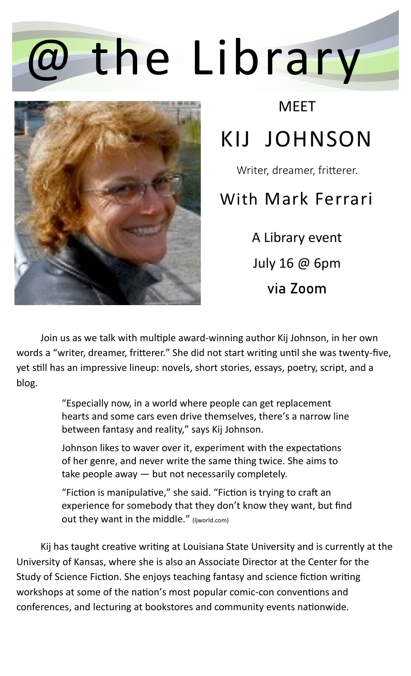## the Library



**MFFT** 

## KIJ JOHNSON

Writer, dreamer, fritterer.

## With Mark Ferrari

A Library event July 16 @ 6pm via Zoom

Join us as we talk with multiple award-winning author Kij Johnson, in her own words a "writer, dreamer, fritterer." She did not start writing until she was twenty-five, yet still has an impressive lineup: novels, short stories, essays, poetry, script, and a blog.

> "Especially now, in a world where people can get replacement hearts and some cars even drive themselves, there's a narrow line between fantasy and reality," says Kij Johnson.

Johnson likes to waver over it, experiment with the expectations of her genre, and never write the same thing twice. She aims to take people away — but not necessarily completely.

"Fiction is manipulative," she said. "Fiction is trying to craft an experience for somebody that they don't know they want, but find out they want in the middle." (Ijworld.com)

Kij has taught creative writing at Louisiana State University and is currently at the University of Kansas, where she is also an Associate Director at the Center for the Study of Science Fiction. She enjoys teaching fantasy and science fiction writing workshops at some of the nation's most popular comic-con conventions and conferences, and lecturing at bookstores and community events nationwide.